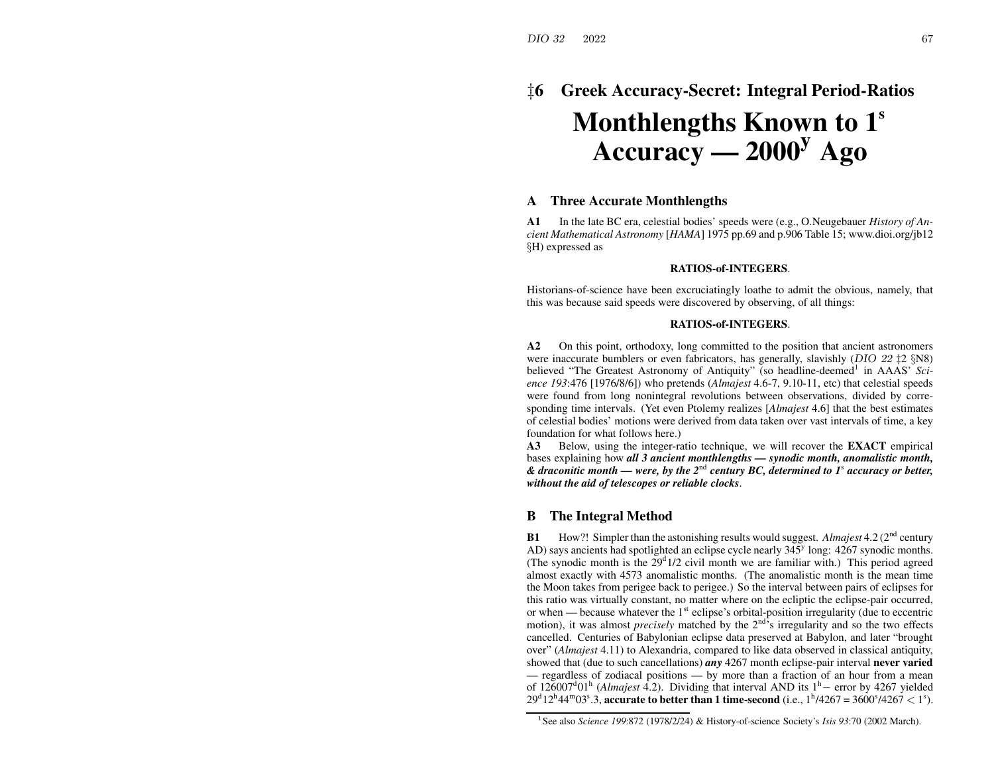# ‡**6 Greek Accuracy-Secret: Integral Period-Ratios Monthlengths Known to 1<sup>s</sup> Accuracy — <sup>2000</sup><sup>y</sup> Ago**

## **A Three Accurate Monthlengths**

**A1** In the late BC era, celestial bodies' speeds were (e.g., O.Neugebauer *History of Ancient Mathematical Astronomy* [*HAMA*] 1975 pp.69 and p.906 Table 15; www.dioi.org/jb12 §H) expressed as

#### **RATIOS-of-INTEGERS**.

Historians-of-science have been excruciatingly loathe to admit the obvious, namely, that this was because said speeds were discovered by observing, of all things:

#### **RATIOS-of-INTEGERS**.

**A2** On this point, orthodoxy, long committed to the position that ancient astronomers were inaccurate bumblers or even fabricators, has generally, slavishly ( $DIO$  22  $\ddagger$ 2 §N8) believed "The Greatest Astronomy of Antiquity" (so headline-deemed<sup>1</sup> in AAAS' Sci*ence 193*:476 [1976/8/6]) who pretends (*Almajest* 4.6-7, 9.10-11, etc) that celestial speeds were found from long nonintegral revolutions between observations, divided by corresponding time intervals. (Yet even Ptolemy realizes [*Almajest* 4.6] that the best estimates of celestial bodies' motions were derived from data taken over vast intervals of time, <sup>a</sup> key foundation for what follows here.)

**A3** Below, using the integer-ratio technique, we will recover the **EXACT** empirical bases explaining how *all 3 ancient monthlengths — synodic month, anomalistic month, & draconitic month — were, by the <sup>2</sup>*nd *century BC, determined to <sup>1</sup>*<sup>s</sup> *accuracy or better, without the aid of telescopes or reliable clocks*.

### **B The Integral Method**

**B1**How?! Simpler than the astonishing results would suggest. *Almajest* 4.2 (2<sup>nd</sup> century AD) says ancients had spotlighted an eclipse cycle nearly  $345^{\circ}$  long:  $4267$  synodic months. (The synodic month is the  $29^{\circ}1/2$  civil month we are familiar with.) This period agreed almost exactly with 4573 anomalistic months. (The anomalistic month is the mean time the Moon takes from perigee back to perigee.) So the interval between pairs of eclipses for this ratio was virtually constant, no matter where on the ecliptic the eclipse-pair occurred, or when — because whatever the  $1<sup>st</sup>$  eclipse's orbital-position irregularity (due to eccentric motion), it was almost *precisely* matched by the  $2<sup>nd</sup>$ 's irregularity and so the two effects cancelled. Centuries of Babylonian eclipse data preserved at Babylon, and later "brought over" (*Almajest* 4.11) to Alexandria, compared to like data observed in classical antiquity, showed that (due to such cancellations) *any* 4267 month eclipse-pair interval **never varied** — regardless of zodiacal positions — by more than <sup>a</sup> fraction of an hour from <sup>a</sup> mean of 126007<sup>d</sup>01<sup>h</sup> (*Almajest* 4.2). Dividing that interval AND its 1<sup>h</sup>− error by 4267 yielded 29<sup>d</sup> 12<sup>h</sup> 44<sup>m</sup>03<sup>s</sup>.3, accurate to better than 1 time-second (i.e.,  $1^{\text{h}}$ /4267 = 3600<sup>s</sup>/4267 < 1<sup>s</sup>).

<sup>1</sup>See also *Science 199*:872 (1978/2/24) & History-of-science Society's *Isis 93*:70 (2002 March).